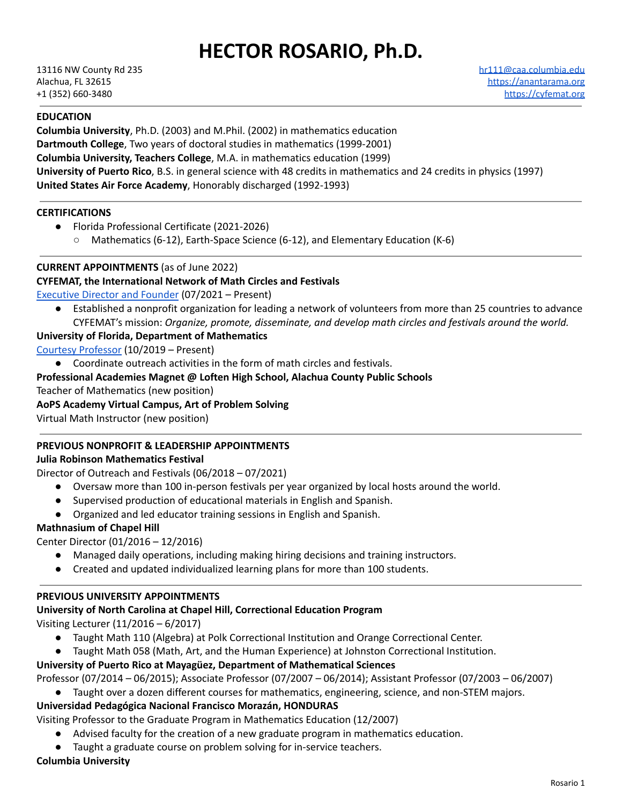# **HECTOR ROSARIO, Ph.D.**

## **EDUCATION**

**Columbia University**, Ph.D. (2003) and M.Phil. (2002) in mathematics education **Dartmouth College**, Two years of doctoral studies in mathematics (1999-2001) **Columbia University, Teachers College**, M.A. in mathematics education (1999) **University of Puerto Rico**, B.S. in general science with 48 credits in mathematics and 24 credits in physics (1997) **United States Air Force Academy**, Honorably discharged (1992-1993)

#### **CERTIFICATIONS**

- Florida Professional Certificate (2021-2026)
	- Mathematics (6-12), Earth-Space Science (6-12), and Elementary Education (K-6)

## **CURRENT APPOINTMENTS** (as of June 2022)

#### **CYFEMAT, the International Network of Math Circles and Festivals**

[Executive](https://www.cyfemat.org/directors) Director and Founder (07/2021 – Present)

Established a nonprofit organization for leading a network of volunteers from more than 25 countries to advance CYFEMAT's mission: *Organize, promote, disseminate, and develop math circles and festivals around the world.*

#### **University of Florida, Department of Mathematics**

Courtesy [Professor](https://math.ufl.edu/people/affiliate-faculty/) (10/2019 – Present)

● Coordinate outreach activities in the form of math circles and festivals.

#### **Professional Academies Magnet @ Loften High School, Alachua County Public Schools**

Teacher of Mathematics (new position)

#### **AoPS Academy Virtual Campus, Art of Problem Solving**

Virtual Math Instructor (new position)

#### **PREVIOUS NONPROFIT & LEADERSHIP APPOINTMENTS**

#### **Julia Robinson Mathematics Festival**

Director of Outreach and Festivals (06/2018 – 07/2021)

- Oversaw more than 100 in-person festivals per year organized by local hosts around the world.
- Supervised production of educational materials in English and Spanish.
- Organized and led educator training sessions in English and Spanish.

#### **Mathnasium of Chapel Hill**

Center Director (01/2016 – 12/2016)

- Managed daily operations, including making hiring decisions and training instructors.
- Created and updated individualized learning plans for more than 100 students.

#### **PREVIOUS UNIVERSITY APPOINTMENTS**

#### **University of North Carolina at Chapel Hill, Correctional Education Program**

Visiting Lecturer (11/2016 – 6/2017)

- Taught Math 110 (Algebra) at Polk Correctional Institution and Orange Correctional Center.
- Taught Math 058 (Math, Art, and the Human Experience) at Johnston Correctional Institution.

#### **University of Puerto Rico at Mayagüez, Department of Mathematical Sciences**

Professor (07/2014 – 06/2015); Associate Professor (07/2007 – 06/2014); Assistant Professor (07/2003 – 06/2007)

● Taught over a dozen different courses for mathematics, engineering, science, and non-STEM majors.

## **Universidad Pedagógica Nacional Francisco Morazán, HONDURAS**

Visiting Professor to the Graduate Program in Mathematics Education (12/2007)

● Advised faculty for the creation of a new graduate program in mathematics education.

Taught a graduate course on problem solving for in-service teachers.

#### **Columbia University**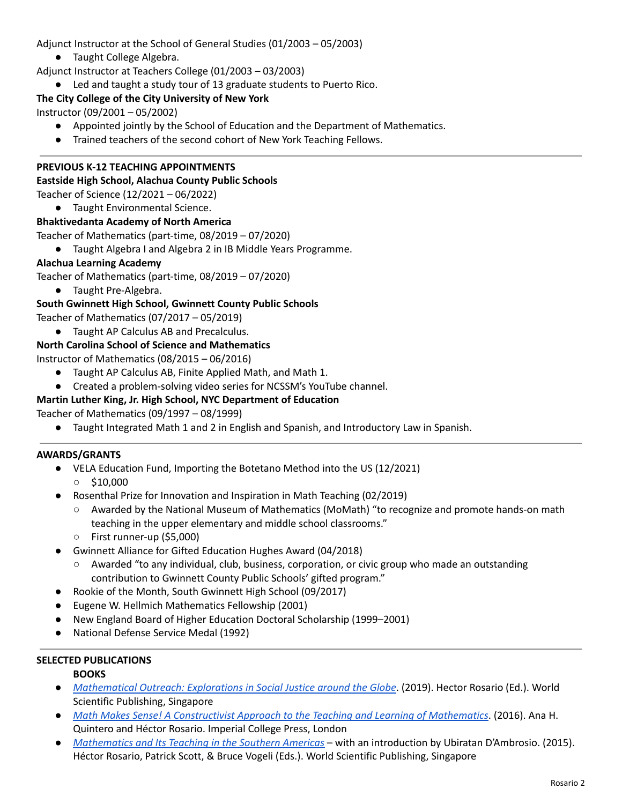Adjunct Instructor at the School of General Studies (01/2003 – 05/2003)

● Taught College Algebra.

Adjunct Instructor at Teachers College (01/2003 – 03/2003)

● Led and taught a study tour of 13 graduate students to Puerto Rico.

## **The City College of the City University of New York**

Instructor (09/2001 – 05/2002)

- Appointed jointly by the School of Education and the Department of Mathematics.
- Trained teachers of the second cohort of New York Teaching Fellows.

## **PREVIOUS K-12 TEACHING APPOINTMENTS**

#### **Eastside High School, Alachua County Public Schools**

Teacher of Science (12/2021 – 06/2022)

● Taught Environmental Science.

#### **Bhaktivedanta Academy of North America**

Teacher of Mathematics (part-time, 08/2019 – 07/2020)

● Taught Algebra I and Algebra 2 in IB Middle Years Programme.

#### **Alachua Learning Academy**

Teacher of Mathematics (part-time, 08/2019 – 07/2020)

● Taught Pre-Algebra.

# **South Gwinnett High School, Gwinnett County Public Schools**

Teacher of Mathematics (07/2017 – 05/2019)

● Taught AP Calculus AB and Precalculus.

## **North Carolina School of Science and Mathematics**

Instructor of Mathematics (08/2015 – 06/2016)

- Taught AP Calculus AB, Finite Applied Math, and Math 1.
- Created a problem-solving video series for NCSSM's YouTube channel.

## **Martin Luther King, Jr. High School, NYC Department of Education**

Teacher of Mathematics (09/1997 – 08/1999)

● Taught Integrated Math 1 and 2 in English and Spanish, and Introductory Law in Spanish.

#### **AWARDS/GRANTS**

- VELA Education Fund, Importing the Botetano Method into the US (12/2021)  $\circ$  \$10,000
- Rosenthal Prize for Innovation and Inspiration in Math Teaching (02/2019)
	- Awarded by the National Museum of Mathematics (MoMath) "to recognize and promote hands-on math teaching in the upper elementary and middle school classrooms."
	- First runner-up (\$5,000)
- Gwinnett Alliance for Gifted Education Hughes Award (04/2018)
	- Awarded "to any individual, club, business, corporation, or civic group who made an outstanding contribution to Gwinnett County Public Schools' gifted program."
- Rookie of the Month, South Gwinnett High School (09/2017)
- Eugene W. Hellmich Mathematics Fellowship (2001)
- New England Board of Higher Education Doctoral Scholarship (1999–2001)
- **National Defense Service Medal (1992)**

#### **SELECTED PUBLICATIONS**

## **BOOKS**

- *[Mathematical](https://www.worldscientific.com/worldscibooks/10.1142/11560) Outreach: Explorations in Social Justice around the Globe*. (2019). Hector Rosario (Ed.). World Scientific Publishing, Singapore
- *Math Makes Sense! A [Constructivist](https://www.worldscientific.com/worldscibooks/10.1142/p1056) Approach to the Teaching and Learning of Mathematics*. (2016). Ana H. Quintero and Héctor Rosario. Imperial College Press, London
- *[Mathematics](https://www.worldscientific.com/worldscibooks/10.1142/9112) and Its Teaching in the Southern Americas* with an introduction by Ubiratan D'Ambrosio. (2015). Héctor Rosario, Patrick Scott, & Bruce Vogeli (Eds.). World Scientific Publishing, Singapore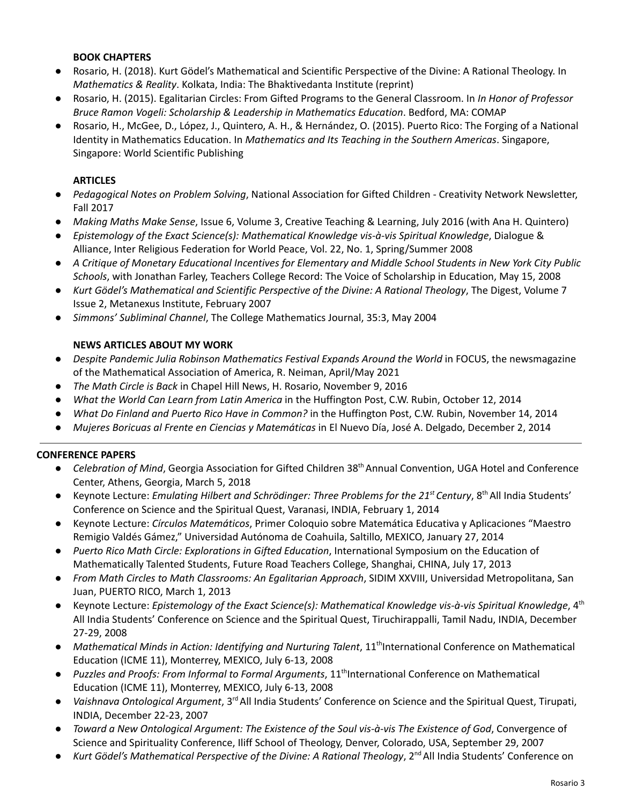## **BOOK CHAPTERS**

- Rosario, H. (2018). Kurt Gödel's Mathematical and Scientific Perspective of the Divine: A Rational Theology. In *Mathematics & Reality*. Kolkata, India: The Bhaktivedanta Institute (reprint)
- Rosario, H. (2015). Egalitarian Circles: From Gifted Programs to the General Classroom. In *In Honor of Professor Bruce Ramon Vogeli: Scholarship & Leadership in Mathematics Education*. Bedford, MA: COMAP
- Rosario, H., McGee, D., López, J., Quintero, A. H., & Hernández, O. (2015). Puerto Rico: The Forging of a National Identity in Mathematics Education. In *Mathematics and Its Teaching in the Southern Americas*. Singapore, Singapore: World Scientific Publishing

## **ARTICLES**

- *Pedagogical Notes on Problem Solving*, National Association for Gifted Children Creativity Network Newsletter, Fall 2017
- *Making Maths Make Sense*, Issue 6, Volume 3, Creative Teaching & Learning, July 2016 (with Ana H. Quintero)
- *Epistemology of the Exact Science(s): Mathematical Knowledge vis-à-vis Spiritual Knowledge*, Dialogue & Alliance, Inter Religious Federation for World Peace, Vol. 22, No. 1, Spring/Summer 2008
- A Critique of Monetary Educational Incentives for Elementary and Middle School Students in New York City Public *Schools*, with Jonathan Farley, Teachers College Record: The Voice of Scholarship in Education, May 15, 2008
- *Kurt Gödel's Mathematical and Scientific Perspective of the Divine: A Rational Theology*, The Digest, Volume 7 Issue 2, Metanexus Institute, February 2007
- *Simmons' Subliminal Channel*, The College Mathematics Journal, 35:3, May 2004

## **NEWS ARTICLES ABOUT MY WORK**

- *Despite Pandemic Julia Robinson Mathematics Festival Expands Around the World* in FOCUS, the newsmagazine of the Mathematical Association of America, R. Neiman, April/May 2021
- *The Math Circle is Back* in Chapel Hill News, H. Rosario, November 9, 2016
- *What the World Can Learn from Latin America* in the Huffington Post, C.W. Rubin, October 12, 2014
- *What Do Finland and Puerto Rico Have in Common?* in the Huffington Post, C.W. Rubin, November 14, 2014
- *Mujeres Boricuas al Frente en Ciencias y Matemáticas* in El Nuevo Día, José A. Delgado, December 2, 2014

## **CONFERENCE PAPERS**

- *Celebration of Mind*, Georgia Association for Gifted Children 38<sup>th</sup> Annual Convention, UGA Hotel and Conference Center, Athens, Georgia, March 5, 2018
- Keynote Lecture: *Emulating Hilbert and Schrödinger: Three Problems for the 21 st Century*, 8 thAll India Students' Conference on Science and the Spiritual Quest, Varanasi, INDIA, February 1, 2014
- Keynote Lecture: *Círculos Matemáticos*, Primer Coloquio sobre Matemática Educativa y Aplicaciones "Maestro Remigio Valdés Gámez," Universidad Autónoma de Coahuila, Saltillo, MEXICO, January 27, 2014
- *Puerto Rico Math Circle: Explorations in Gifted Education*, International Symposium on the Education of Mathematically Talented Students, Future Road Teachers College, Shanghai, CHINA, July 17, 2013
- *From Math Circles to Math Classrooms: An Egalitarian Approach*, SIDIM XXVIII, Universidad Metropolitana, San Juan, PUERTO RICO, March 1, 2013
- Keynote Lecture: *Epistemology of the Exact Science(s): Mathematical Knowledge vis-à-vis Spiritual Knowledge*, 4 th All India Students' Conference on Science and the Spiritual Quest, Tiruchirappalli, Tamil Nadu, INDIA, December 27-29, 2008
- *Mathematical Minds in Action: Identifying and Nurturing Talent*, 11 th International Conference on Mathematical Education (ICME 11), Monterrey, MEXICO, July 6-13, 2008
- *Puzzles and Proofs: From Informal to Formal Arguments*, 11 th International Conference on Mathematical Education (ICME 11), Monterrey, MEXICO, July 6-13, 2008
- *Vaishnava Ontological Argument*, 3<sup>rd</sup> All India Students' Conference on Science and the Spiritual Quest, Tirupati, INDIA, December 22-23, 2007
- *Toward a New Ontological Argument: The Existence of the Soul vis-à-vis The Existence of God*, Convergence of Science and Spirituality Conference, Iliff School of Theology, Denver, Colorado, USA, September 29, 2007
- *Kurt Gödel's Mathematical Perspective of the Divine: A Rational Theology, 2<sup>nd</sup> All India Students' Conference on*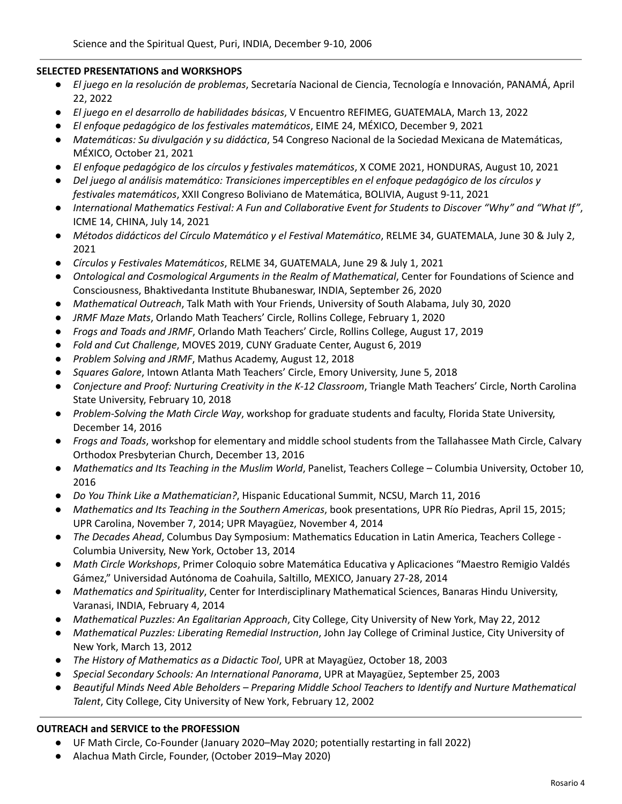#### **SELECTED PRESENTATIONS and WORKSHOPS**

- *El juego en la resolución de problemas*, Secretaría Nacional de Ciencia, Tecnología e Innovación, PANAMÁ, April 22, 2022
- *El juego en el desarrollo de habilidades básicas*, V Encuentro REFIMEG, GUATEMALA, March 13, 2022
- *El enfoque pedagógico de los festivales matemáticos*, EIME 24, MÉXICO, December 9, 2021
- *Matemáticas: Su divulgación y su didáctica*, 54 Congreso Nacional de la Sociedad Mexicana de Matemáticas, MÉXICO, October 21, 2021
- *El enfoque pedagógico de los círculos y festivales matemáticos*, X COME 2021, HONDURAS, August 10, 2021
- *Del juego al análisis matemático: Transiciones imperceptibles en el enfoque pedagógico de los círculos y festivales matemáticos*, XXII Congreso Boliviano de Matemática, BOLIVIA, August 9-11, 2021
- International Mathematics Festival: A Fun and Collaborative Event for Students to Discover "Why" and "What If", ICME 14, CHINA, July 14, 2021
- *Métodos didácticos del Círculo Matemático y el Festival Matemático*, RELME 34, GUATEMALA, June 30 & July 2, 2021
- *Círculos y Festivales Matemáticos*, RELME 34, GUATEMALA, June 29 & July 1, 2021
- *Ontological and Cosmological Arguments in the Realm of Mathematical*, Center for Foundations of Science and Consciousness, Bhaktivedanta Institute Bhubaneswar, INDIA, September 26, 2020
- *Mathematical Outreach*, Talk Math with Your Friends, University of South Alabama, July 30, 2020
- *JRMF Maze Mats*, Orlando Math Teachers' Circle, Rollins College, February 1, 2020
- *Frogs and Toads and JRMF*, Orlando Math Teachers' Circle, Rollins College, August 17, 2019
- *Fold and Cut Challenge*, MOVES 2019, CUNY Graduate Center, August 6, 2019
- *Problem Solving and JRMF*, Mathus Academy, August 12, 2018
- *Squares Galore*, Intown Atlanta Math Teachers' Circle, Emory University, June 5, 2018
- *Conjecture and Proof: Nurturing Creativity in the K-12 Classroom*, Triangle Math Teachers' Circle, North Carolina State University, February 10, 2018
- *Problem-Solving the Math Circle Way*, workshop for graduate students and faculty, Florida State University, December 14, 2016
- *Frogs and Toads*, workshop for elementary and middle school students from the Tallahassee Math Circle, Calvary Orthodox Presbyterian Church, December 13, 2016
- *Mathematics and Its Teaching in the Muslim World*, Panelist, Teachers College Columbia University, October 10, 2016
- *Do You Think Like a Mathematician?*, Hispanic Educational Summit, NCSU, March 11, 2016
- *Mathematics and Its Teaching in the Southern Americas*, book presentations, UPR Río Piedras, April 15, 2015; UPR Carolina, November 7, 2014; UPR Mayagüez, November 4, 2014
- *The Decades Ahead*, Columbus Day Symposium: Mathematics Education in Latin America, Teachers College Columbia University, New York, October 13, 2014
- *Math Circle Workshops*, Primer Coloquio sobre Matemática Educativa y Aplicaciones "Maestro Remigio Valdés Gámez," Universidad Autónoma de Coahuila, Saltillo, MEXICO, January 27-28, 2014
- *Mathematics and Spirituality*, Center for Interdisciplinary Mathematical Sciences, Banaras Hindu University, Varanasi, INDIA, February 4, 2014
- *Mathematical Puzzles: An Egalitarian Approach*, City College, City University of New York, May 22, 2012
- *Mathematical Puzzles: Liberating Remedial Instruction*, John Jay College of Criminal Justice, City University of New York, March 13, 2012
- *The History of Mathematics as a Didactic Tool*, UPR at Mayagüez, October 18, 2003
- *Special Secondary Schools: An International Panorama*, UPR at Mayagüez, September 25, 2003
- *Beautiful Minds Need Able Beholders – Preparing Middle School Teachers to Identify and Nurture Mathematical Talent*, City College, City University of New York, February 12, 2002

#### **OUTREACH and SERVICE to the PROFESSION**

- UF Math Circle, Co-Founder (January 2020–May 2020; potentially restarting in fall 2022)
- Alachua Math Circle, Founder, (October 2019–May 2020)